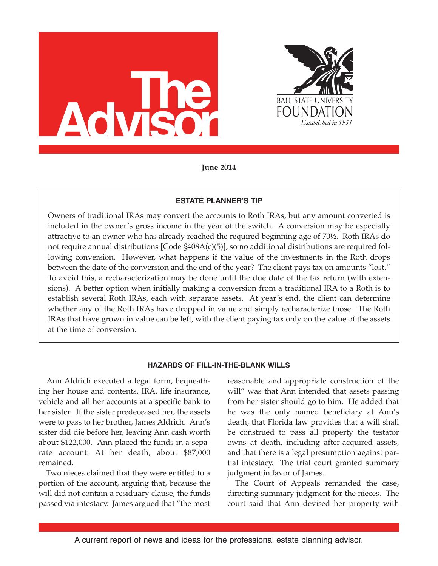



**June 2014**

## **ESTATE PLANNER'S TIP**

Owners of traditional IRAs may convert the accounts to Roth IRAs, but any amount converted is included in the owner's gross income in the year of the switch. A conversion may be especially attractive to an owner who has already reached the required beginning age of 70½. Roth IRAs do not require annual distributions [Code §408A(c)(5)], so no additional distributions are required following conversion. However, what happens if the value of the investments in the Roth drops between the date of the conversion and the end of the year? The client pays tax on amounts "lost." To avoid this, a recharacterization may be done until the due date of the tax return (with extensions). A better option when initially making a conversion from a traditional IRA to a Roth is to establish several Roth IRAs, each with separate assets. At year's end, the client can determine whether any of the Roth IRAs have dropped in value and simply recharacterize those. The Roth IRAs that have grown in value can be left, with the client paying tax only on the value of the assets at the time of conversion.

# **HAZARDS OF FILL-IN-THE-BLANK WILLS**

Ann Aldrich executed a legal form, bequeathing her house and contents, IRA, life insurance, vehicle and all her accounts at a specific bank to her sister. If the sister predeceased her, the assets were to pass to her brother, James Aldrich. Ann's sister did die before her, leaving Ann cash worth about \$122,000. Ann placed the funds in a separate account. At her death, about \$87,000 remained.

Two nieces claimed that they were entitled to a portion of the account, arguing that, because the will did not contain a residuary clause, the funds passed via intestacy. James argued that "the most

reasonable and appropriate construction of the will" was that Ann intended that assets passing from her sister should go to him. He added that he was the only named beneficiary at Ann's death, that Florida law provides that a will shall be construed to pass all property the testator owns at death, including after-acquired assets, and that there is a legal presumption against partial intestacy. The trial court granted summary judgment in favor of James.

The Court of Appeals remanded the case, directing summary judgment for the nieces. The court said that Ann devised her property with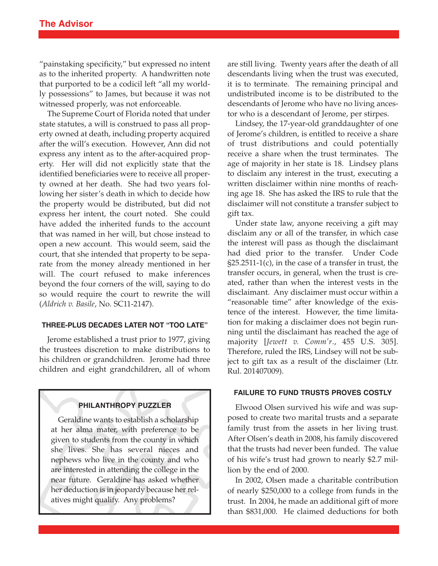"painstaking specificity," but expressed no intent as to the inherited property. A handwritten note that purported to be a codicil left "all my worldly possessions" to James, but because it was not witnessed properly, was not enforceable.

The Supreme Court of Florida noted that under state statutes, a will is construed to pass all property owned at death, including property acquired after the will's execution. However, Ann did not express any intent as to the after-acquired property. Her will did not explicitly state that the identified beneficiaries were to receive all property owned at her death. She had two years following her sister's death in which to decide how the property would be distributed, but did not express her intent, the court noted. She could have added the inherited funds to the account that was named in her will, but chose instead to open a new account. This would seem, said the court, that she intended that property to be separate from the money already mentioned in her will. The court refused to make inferences beyond the four corners of the will, saying to do so would require the court to rewrite the will (*Aldrich v. Basile*, No. SC11-2147).

### **THREE-PLUS DECADES LATER NOT "TOO LATE"**

Jerome established a trust prior to 1977, giving the trustees discretion to make distributions to his children or grandchildren. Jerome had three children and eight grandchildren, all of whom

### **PHILANTHROPY PUZZLER**

Geraldine wants to establish a scholarship at her alma mater, with preference to be given to students from the county in which she lives. She has several nieces and nephews who live in the county and who are interested in attending the college in the near future. Geraldine has asked whether her deduction is in jeopardy because her relatives might qualify. Any problems?

are still living. Twenty years after the death of all descendants living when the trust was executed, it is to terminate. The remaining principal and undistributed income is to be distributed to the descendants of Jerome who have no living ancestor who is a descendant of Jerome, per stirpes.

Lindsey, the 17-year-old granddaughter of one of Jerome's children, is entitled to receive a share of trust distributions and could potentially receive a share when the trust terminates. The age of majority in her state is 18. Lindsey plans to disclaim any interest in the trust, executing a written disclaimer within nine months of reaching age 18. She has asked the IRS to rule that the disclaimer will not constitute a transfer subject to gift tax.

Under state law, anyone receiving a gift may disclaim any or all of the transfer, in which case the interest will pass as though the disclaimant had died prior to the transfer. Under Code §25.2511-1(c), in the case of a transfer in trust, the transfer occurs, in general, when the trust is created, rather than when the interest vests in the disclaimant. Any disclaimer must occur within a "reasonable time" after knowledge of the existence of the interest. However, the time limitation for making a disclaimer does not begin running until the disclaimant has reached the age of majority [*Jewett v. Comm'r*., 455 U.S. 305]. Therefore, ruled the IRS, Lindsey will not be subject to gift tax as a result of the disclaimer (Ltr. Rul. 201407009).

#### **FAILURE TO FUND TRUSTS PROVES COSTLY**

Elwood Olsen survived his wife and was supposed to create two marital trusts and a separate family trust from the assets in her living trust. After Olsen's death in 2008, his family discovered that the trusts had never been funded. The value of his wife's trust had grown to nearly \$2.7 million by the end of 2000.

In 2002, Olsen made a charitable contribution of nearly \$250,000 to a college from funds in the trust. In 2004, he made an additional gift of more than \$831,000. He claimed deductions for both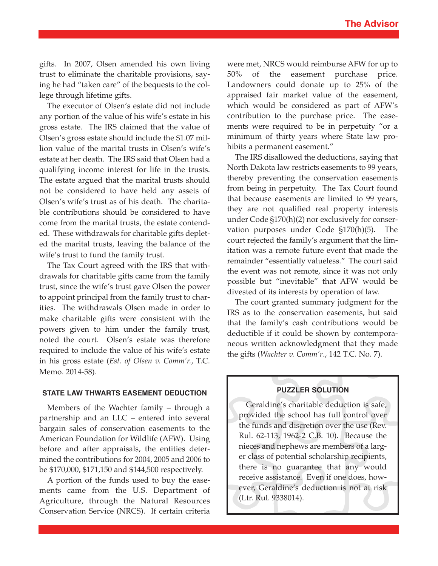gifts. In 2007, Olsen amended his own living trust to eliminate the charitable provisions, saying he had "taken care" of the bequests to the college through lifetime gifts.

The executor of Olsen's estate did not include any portion of the value of his wife's estate in his gross estate. The IRS claimed that the value of Olsen's gross estate should include the \$1.07 million value of the marital trusts in Olsen's wife's estate at her death. The IRS said that Olsen had a qualifying income interest for life in the trusts. The estate argued that the marital trusts should not be considered to have held any assets of Olsen's wife's trust as of his death. The charitable contributions should be considered to have come from the marital trusts, the estate contended. These withdrawals for charitable gifts depleted the marital trusts, leaving the balance of the wife's trust to fund the family trust.

The Tax Court agreed with the IRS that withdrawals for charitable gifts came from the family trust, since the wife's trust gave Olsen the power to appoint principal from the family trust to charities. The withdrawals Olsen made in order to make charitable gifts were consistent with the powers given to him under the family trust, noted the court. Olsen's estate was therefore required to include the value of his wife's estate in his gross estate (*Est. of Olsen v. Comm'r.*, T.C. Memo. 2014-58).

## **STATE LAW THWARTS EASEMENT DEDUCTION**

Members of the Wachter family – through a partnership and an LLC – entered into several bargain sales of conservation easements to the American Foundation for Wildlife (AFW). Using before and after appraisals, the entities determined the contributions for 2004, 2005 and 2006 to be \$170,000, \$171,150 and \$144,500 respectively.

A portion of the funds used to buy the easements came from the U.S. Department of Agriculture, through the Natural Resources Conservation Service (NRCS). If certain criteria

were met, NRCS would reimburse AFW for up to 50% of the easement purchase price. Landowners could donate up to 25% of the appraised fair market value of the easement, which would be considered as part of AFW's contribution to the purchase price. The easements were required to be in perpetuity "or a minimum of thirty years where State law prohibits a permanent easement."

The IRS disallowed the deductions, saying that North Dakota law restricts easements to 99 years, thereby preventing the conservation easements from being in perpetuity. The Tax Court found that because easements are limited to 99 years, they are not qualified real property interests under Code §170(h)(2) nor exclusively for conservation purposes under Code §170(h)(5). The court rejected the family's argument that the limitation was a remote future event that made the remainder "essentially valueless." The court said the event was not remote, since it was not only possible but "inevitable" that AFW would be divested of its interests by operation of law.

The court granted summary judgment for the IRS as to the conservation easements, but said that the family's cash contributions would be deductible if it could be shown by contemporaneous written acknowledgment that they made the gifts (*Wachter v. Comm'r*., 142 T.C. No. 7).

## **PUZZLER SOLUTION**

Geraldine's charitable deduction is safe, provided the school has full control over the funds and discretion over the use (Rev. Rul. 62-113, 1962-2 C.B. 10). Because the nieces and nephews are members of a larger class of potential scholarship recipients, there is no guarantee that any would receive assistance. Even if one does, however, Geraldine's deduction is not at risk (Ltr. Rul. 9338014).